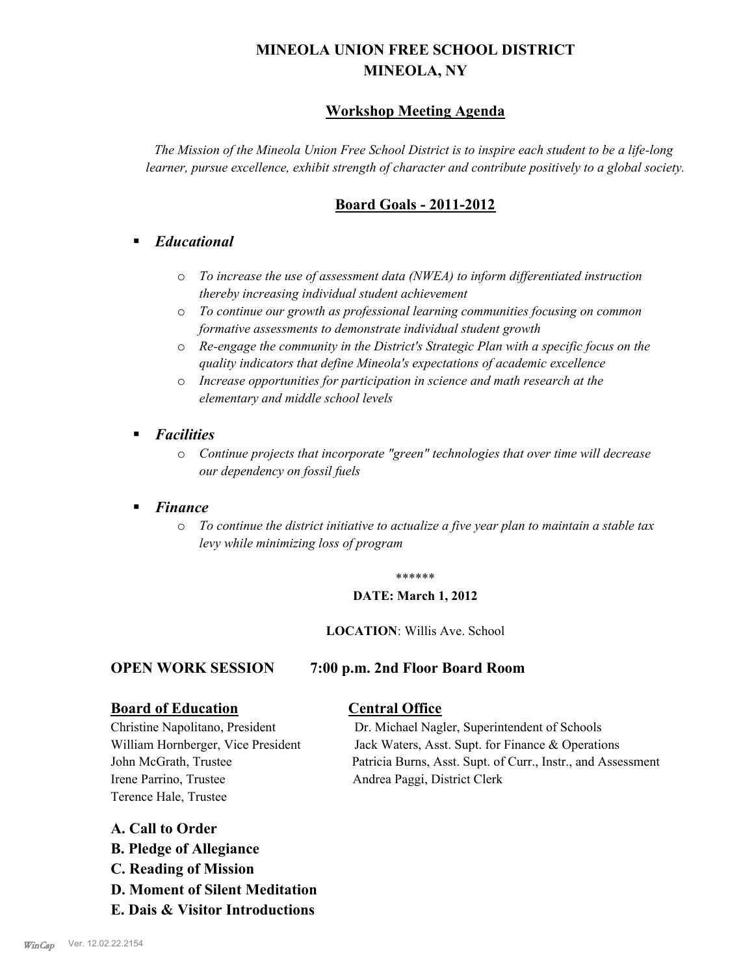# **MINEOLA UNION FREE SCHOOL DISTRICT MINEOLA, NY**

# **Workshop Meeting Agenda**

*The Mission of the Mineola Union Free School District is to inspire each student to be a life-long learner, pursue excellence, exhibit strength of character and contribute positively to a global society.*

# **Board Goals - 2011-2012**

# § *Educational*

- o *To increase the use of assessment data (NWEA) to inform differentiated instruction thereby increasing individual student achievement*
- o *To continue our growth as professional learning communities focusing on common formative assessments to demonstrate individual student growth*
- o *Re-engage the community in the District's Strategic Plan with a specific focus on the quality indicators that define Mineola's expectations of academic excellence*
- o *Increase opportunities for participation in science and math research at the elementary and middle school levels*
- *Facilities* 
	- o *Continue projects that incorporate "green" technologies that over time will decrease our dependency on fossil fuels*

# § *Finance*

o *To continue the district initiative to actualize a five year plan to maintain a stable tax levy while minimizing loss of program*

#### \*\*\*\*\*\*

#### **DATE: March 1, 2012**

#### **LOCATION**: Willis Ave. School

#### **OPEN WORK SESSION 7:00 p.m. 2nd Floor Board Room**

#### **Board of Education Central Office**

Irene Parrino, Trustee Andrea Paggi, District Clerk Terence Hale, Trustee

Christine Napolitano, President Dr. Michael Nagler, Superintendent of Schools William Hornberger, Vice President Jack Waters, Asst. Supt. for Finance & Operations John McGrath, Trustee Patricia Burns, Asst. Supt. of Curr., Instr., and Assessment

# **A. Call to Order**

- **B. Pledge of Allegiance**
- **C. Reading of Mission**
- **D. Moment of Silent Meditation**
- **E. Dais & Visitor Introductions**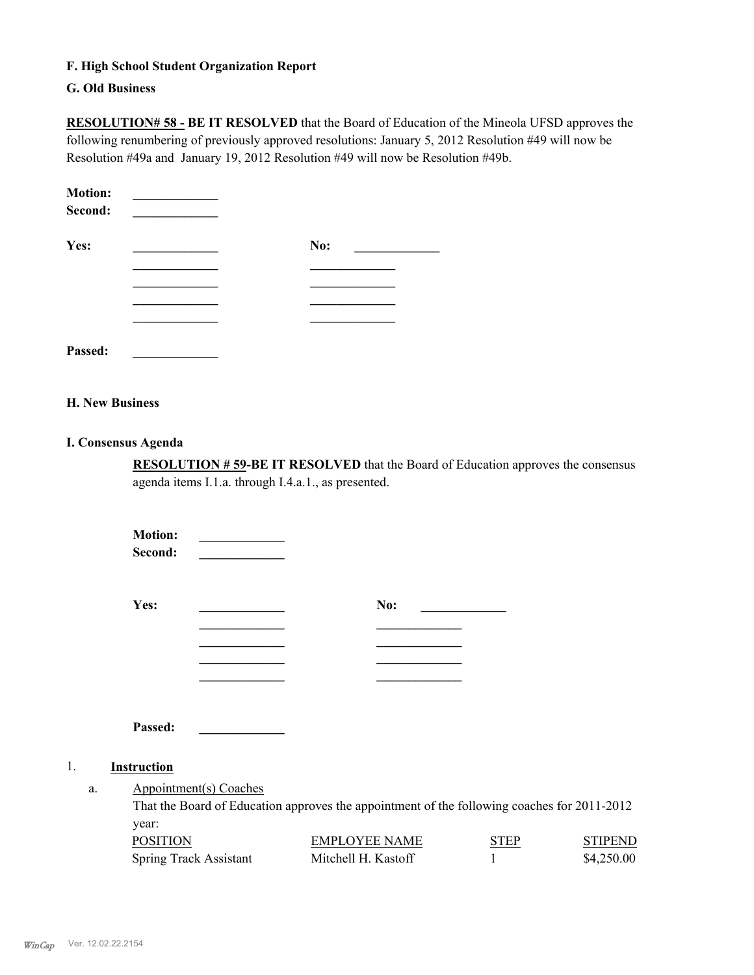#### **F. High School Student Organization Report**

#### **G. Old Business**

**RESOLUTION# 58 - BE IT RESOLVED** that the Board of Education of the Mineola UFSD approves the following renumbering of previously approved resolutions: January 5, 2012 Resolution #49 will now be Resolution #49a and January 19, 2012 Resolution #49 will now be Resolution #49b.

| <b>Motion:</b><br>Second: |     |
|---------------------------|-----|
| Yes:                      | No: |
|                           |     |
|                           |     |
|                           |     |
|                           |     |
| Passed:                   |     |

## **H. New Business**

#### **I. Consensus Agenda**

**RESOLUTION # 59-BE IT RESOLVED** that the Board of Education approves the consensus agenda items I.1.a. through I.4.a.1., as presented.

> **STIPEND**  $$4,250.00$

|                                                                                                                             |  | <b>Motion:</b><br>Second: |                               |                                             |                  |                              |
|-----------------------------------------------------------------------------------------------------------------------------|--|---------------------------|-------------------------------|---------------------------------------------|------------------|------------------------------|
|                                                                                                                             |  | Yes:                      |                               | No:                                         |                  |                              |
|                                                                                                                             |  |                           |                               |                                             |                  |                              |
|                                                                                                                             |  |                           |                               |                                             |                  |                              |
|                                                                                                                             |  | Passed:                   |                               |                                             |                  |                              |
| 1.                                                                                                                          |  | Instruction               |                               |                                             |                  |                              |
| Appointment(s) Coaches<br>a.<br>That the Board of Education approves the appointment of the following coaches for 2011-2012 |  |                           |                               |                                             |                  |                              |
|                                                                                                                             |  | year:<br><b>POSITION</b>  | <b>Spring Track Assistant</b> | <b>EMPLOYEE NAME</b><br>Mitchell H. Kastoff | <b>STEP</b><br>1 | <b>STIPENI</b><br>\$4,250.00 |
|                                                                                                                             |  |                           |                               |                                             |                  |                              |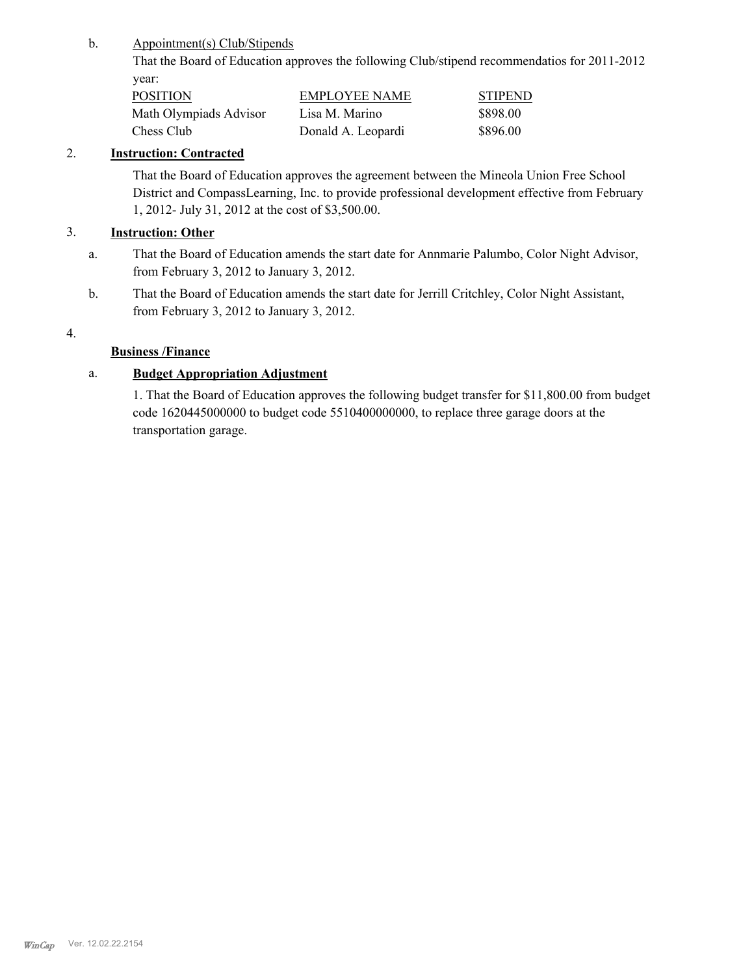#### Appointment(s) Club/Stipends b.

That the Board of Education approves the following Club/stipend recommendatios for 2011-2012 year:

| <b>POSITION</b>        | <b>EMPLOYEE NAME</b> | <b>STIPEND</b> |
|------------------------|----------------------|----------------|
| Math Olympiads Advisor | Lisa M. Marino       | \$898.00       |
| Chess Club             | Donald A. Leopardi   | \$896.00       |

## 2. **Instruction: Contracted**

That the Board of Education approves the agreement between the Mineola Union Free School District and CompassLearning, Inc. to provide professional development effective from February 1, 2012- July 31, 2012 at the cost of \$3,500.00.

## 3. **Instruction: Other**

- That the Board of Education amends the start date for Annmarie Palumbo, Color Night Advisor, from February 3, 2012 to January 3, 2012. a.
- That the Board of Education amends the start date for Jerrill Critchley, Color Night Assistant, from February 3, 2012 to January 3, 2012. b.

#### 4.

# **Business /Finance**

# a. **Budget Appropriation Adjustment**

1. That the Board of Education approves the following budget transfer for \$11,800.00 from budget code 1620445000000 to budget code 5510400000000, to replace three garage doors at the transportation garage.